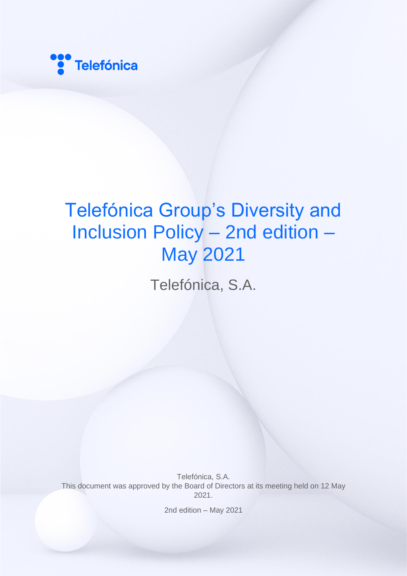

# Telefónica Group's Diversity and Inclusion Policy – 2nd edition – May 2021

Telefónica, S.A.

Telefónica, S.A. This document was approved by the Board of Directors at its meeting held on 12 May 2021.

2nd edition – May 2021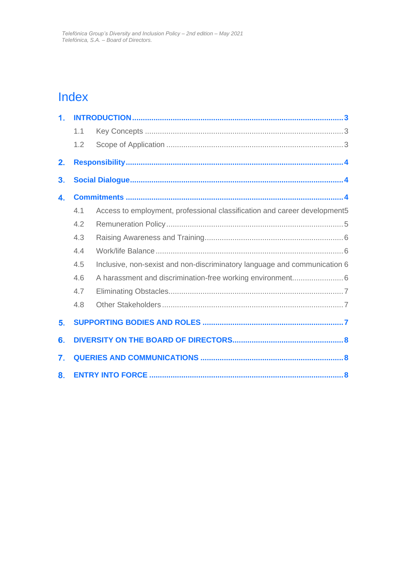### Index

| 1. |     |                                                                           |
|----|-----|---------------------------------------------------------------------------|
|    | 1.1 |                                                                           |
|    | 1.2 |                                                                           |
| 2. |     |                                                                           |
| 3. |     |                                                                           |
| 4. |     |                                                                           |
|    | 4.1 | Access to employment, professional classification and career development5 |
|    | 4.2 |                                                                           |
|    | 4.3 |                                                                           |
|    | 4.4 |                                                                           |
|    | 4.5 | Inclusive, non-sexist and non-discriminatory language and communication 6 |
|    | 4.6 |                                                                           |
|    | 4.7 |                                                                           |
|    | 4.8 |                                                                           |
| 5. |     |                                                                           |
| 6. |     |                                                                           |
| 7. |     |                                                                           |
| 8. |     |                                                                           |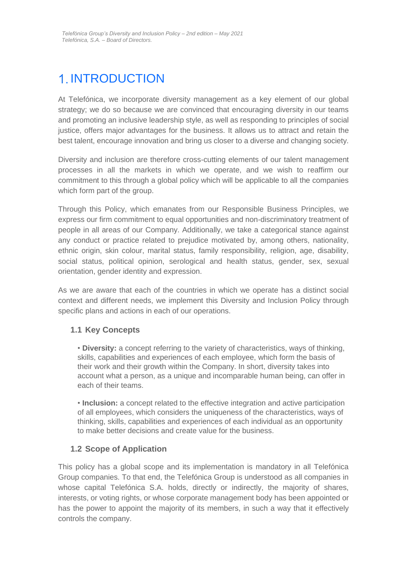# <span id="page-2-0"></span>1. INTRODUCTION

At Telefónica, we incorporate diversity management as a key element of our global strategy; we do so because we are convinced that encouraging diversity in our teams and promoting an inclusive leadership style, as well as responding to principles of social justice, offers major advantages for the business. It allows us to attract and retain the best talent, encourage innovation and bring us closer to a diverse and changing society.

Diversity and inclusion are therefore cross-cutting elements of our talent management processes in all the markets in which we operate, and we wish to reaffirm our commitment to this through a global policy which will be applicable to all the companies which form part of the group.

Through this Policy, which emanates from our Responsible Business Principles, we express our firm commitment to equal opportunities and non-discriminatory treatment of people in all areas of our Company. Additionally, we take a categorical stance against any conduct or practice related to prejudice motivated by, among others, nationality, ethnic origin, skin colour, marital status, family responsibility, religion, age, disability, social status, political opinion, serological and health status, gender, sex, sexual orientation, gender identity and expression.

As we are aware that each of the countries in which we operate has a distinct social context and different needs, we implement this Diversity and Inclusion Policy through specific plans and actions in each of our operations.

#### <span id="page-2-1"></span>**1.1 Key Concepts**

• **Diversity:** a concept referring to the variety of characteristics, ways of thinking, skills, capabilities and experiences of each employee, which form the basis of their work and their growth within the Company. In short, diversity takes into account what a person, as a unique and incomparable human being, can offer in each of their teams.

• **Inclusion:** a concept related to the effective integration and active participation of all employees, which considers the uniqueness of the characteristics, ways of thinking, skills, capabilities and experiences of each individual as an opportunity to make better decisions and create value for the business.

#### <span id="page-2-2"></span>**1.2 Scope of Application**

This policy has a global scope and its implementation is mandatory in all Telefónica Group companies. To that end, the Telefónica Group is understood as all companies in whose capital Telefónica S.A. holds, directly or indirectly, the majority of shares, interests, or voting rights, or whose corporate management body has been appointed or has the power to appoint the majority of its members, in such a way that it effectively controls the company.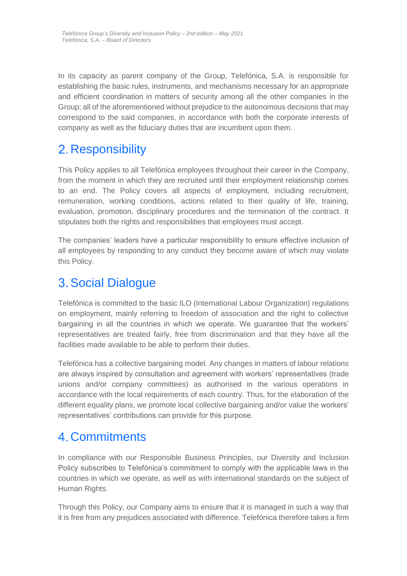In its capacity as parent company of the Group, Telefónica, S.A. is responsible for establishing the basic rules, instruments, and mechanisms necessary for an appropriate and efficient coordination in matters of security among all the other companies in the Group; all of the aforementioned without prejudice to the autonomous decisions that may correspond to the said companies, in accordance with both the corporate interests of company as well as the fiduciary duties that are incumbent upon them.

### <span id="page-3-0"></span>2. Responsibility

This Policy applies to all Telefónica employees throughout their career in the Company, from the moment in which they are recruited until their employment relationship comes to an end. The Policy covers all aspects of employment, including recruitment, remuneration, working conditions, actions related to their quality of life, training, evaluation, promotion, disciplinary procedures and the termination of the contract. It stipulates both the rights and responsibilities that employees must accept.

The companies' leaders have a particular responsibility to ensure effective inclusion of all employees by responding to any conduct they become aware of which may violate this Policy.

### <span id="page-3-1"></span>Social Dialogue

Telefónica is committed to the basic ILO (International Labour Organization) regulations on employment, mainly referring to freedom of association and the right to collective bargaining in all the countries in which we operate. We guarantee that the workers' representatives are treated fairly, free from discrimination and that they have all the facilities made available to be able to perform their duties.

Telefónica has a collective bargaining model. Any changes in matters of labour relations are always inspired by consultation and agreement with workers' representatives (trade unions and/or company committees) as authorised in the various operations in accordance with the local requirements of each country. Thus, for the elaboration of the different equality plans, we promote local collective bargaining and/or value the workers' representatives' contributions can provide for this purpose.

### <span id="page-3-2"></span>Commitments

In compliance with our Responsible Business Principles, our Diversity and Inclusion Policy subscribes to Telefónica's commitment to comply with the applicable laws in the countries in which we operate, as well as with international standards on the subject of Human Rights.

Through this Policy, our Company aims to ensure that it is managed in such a way that it is free from any prejudices associated with difference. Telefónica therefore takes a firm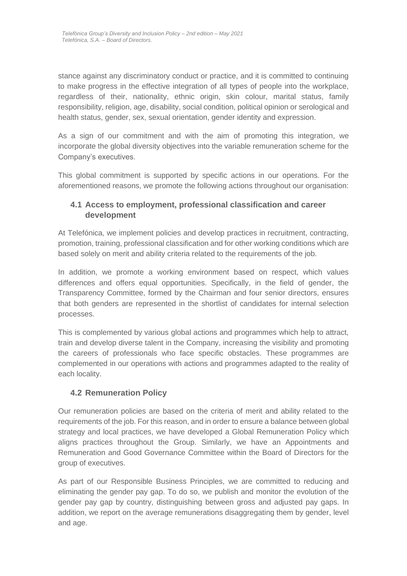stance against any discriminatory conduct or practice, and it is committed to continuing to make progress in the effective integration of all types of people into the workplace, regardless of their, nationality, ethnic origin, skin colour, marital status, family responsibility, religion, age, disability, social condition, political opinion or serological and health status, gender, sex, sexual orientation, gender identity and expression.

As a sign of our commitment and with the aim of promoting this integration, we incorporate the global diversity objectives into the variable remuneration scheme for the Company's executives.

This global commitment is supported by specific actions in our operations. For the aforementioned reasons, we promote the following actions throughout our organisation:

#### <span id="page-4-0"></span>**4.1 Access to employment, professional classification and career development**

At Telefónica, we implement policies and develop practices in recruitment, contracting, promotion, training, professional classification and for other working conditions which are based solely on merit and ability criteria related to the requirements of the job.

In addition, we promote a working environment based on respect, which values differences and offers equal opportunities. Specifically, in the field of gender, the Transparency Committee, formed by the Chairman and four senior directors, ensures that both genders are represented in the shortlist of candidates for internal selection processes.

This is complemented by various global actions and programmes which help to attract, train and develop diverse talent in the Company, increasing the visibility and promoting the careers of professionals who face specific obstacles. These programmes are complemented in our operations with actions and programmes adapted to the reality of each locality.

#### <span id="page-4-1"></span>**4.2 Remuneration Policy**

Our remuneration policies are based on the criteria of merit and ability related to the requirements of the job. For this reason, and in order to ensure a balance between global strategy and local practices, we have developed a Global Remuneration Policy which aligns practices throughout the Group. Similarly, we have an Appointments and Remuneration and Good Governance Committee within the Board of Directors for the group of executives.

As part of our Responsible Business Principles, we are committed to reducing and eliminating the gender pay gap. To do so, we publish and monitor the evolution of the gender pay gap by country, distinguishing between gross and adjusted pay gaps. In addition, we report on the average remunerations disaggregating them by gender, level and age.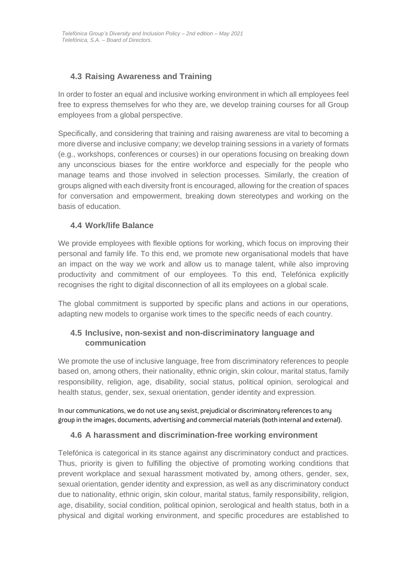#### <span id="page-5-0"></span>**4.3 Raising Awareness and Training**

In order to foster an equal and inclusive working environment in which all employees feel free to express themselves for who they are, we develop training courses for all Group employees from a global perspective.

Specifically, and considering that training and raising awareness are vital to becoming a more diverse and inclusive company; we develop training sessions in a variety of formats (e.g., workshops, conferences or courses) in our operations focusing on breaking down any unconscious biases for the entire workforce and especially for the people who manage teams and those involved in selection processes. Similarly, the creation of groups aligned with each diversity front is encouraged, allowing for the creation of spaces for conversation and empowerment, breaking down stereotypes and working on the basis of education.

#### <span id="page-5-1"></span>**4.4 Work/life Balance**

We provide employees with flexible options for working, which focus on improving their personal and family life. To this end, we promote new organisational models that have an impact on the way we work and allow us to manage talent, while also improving productivity and commitment of our employees. To this end, Telefónica explicitly recognises the right to digital disconnection of all its employees on a global scale.

The global commitment is supported by specific plans and actions in our operations, adapting new models to organise work times to the specific needs of each country.

#### <span id="page-5-2"></span>**4.5 Inclusive, non-sexist and non-discriminatory language and communication**

We promote the use of inclusive language, free from discriminatory references to people based on, among others, their nationality, ethnic origin, skin colour, marital status, family responsibility, religion, age, disability, social status, political opinion, serological and health status, gender, sex, sexual orientation, gender identity and expression.

In our communications, we do not use any sexist, prejudicial or discriminatory references to any group in the images, documents, advertising and commercial materials (both internal and external).

#### <span id="page-5-3"></span>**4.6 A harassment and discrimination-free working environment**

Telefónica is categorical in its stance against any discriminatory conduct and practices. Thus, priority is given to fulfilling the objective of promoting working conditions that prevent workplace and sexual harassment motivated by, among others, gender, sex, sexual orientation, gender identity and expression, as well as any discriminatory conduct due to nationality, ethnic origin, skin colour, marital status, family responsibility, religion, age, disability, social condition, political opinion, serological and health status, both in a physical and digital working environment, and specific procedures are established to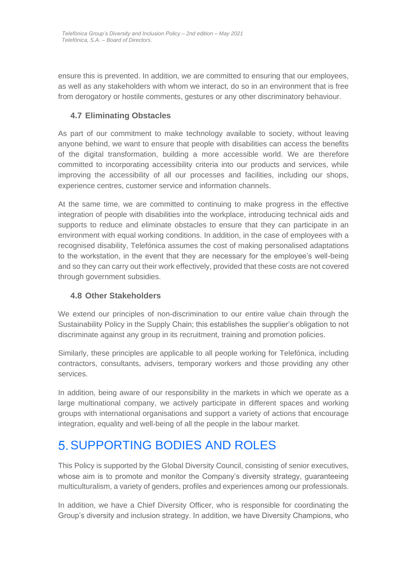ensure this is prevented. In addition, we are committed to ensuring that our employees, as well as any stakeholders with whom we interact, do so in an environment that is free from derogatory or hostile comments, gestures or any other discriminatory behaviour.

#### <span id="page-6-0"></span>**4.7 Eliminating Obstacles**

As part of our commitment to make technology available to society, without leaving anyone behind, we want to ensure that people with disabilities can access the benefits of the digital transformation, building a more accessible world. We are therefore committed to incorporating accessibility criteria into our products and services, while improving the accessibility of all our processes and facilities, including our shops, experience centres, customer service and information channels.

At the same time, we are committed to continuing to make progress in the effective integration of people with disabilities into the workplace, introducing technical aids and supports to reduce and eliminate obstacles to ensure that they can participate in an environment with equal working conditions. In addition, in the case of employees with a recognised disability, Telefónica assumes the cost of making personalised adaptations to the workstation, in the event that they are necessary for the employee's well-being and so they can carry out their work effectively, provided that these costs are not covered through government subsidies.

#### <span id="page-6-1"></span>**4.8 Other Stakeholders**

We extend our principles of non-discrimination to our entire value chain through the Sustainability Policy in the Supply Chain; this establishes the supplier's obligation to not discriminate against any group in its recruitment, training and promotion policies.

Similarly, these principles are applicable to all people working for Telefónica, including contractors, consultants, advisers, temporary workers and those providing any other services.

In addition, being aware of our responsibility in the markets in which we operate as a large multinational company, we actively participate in different spaces and working groups with international organisations and support a variety of actions that encourage integration, equality and well-being of all the people in the labour market.

### <span id="page-6-2"></span>SUPPORTING BODIES AND ROLES

This Policy is supported by the Global Diversity Council, consisting of senior executives, whose aim is to promote and monitor the Company's diversity strategy, guaranteeing multiculturalism, a variety of genders, profiles and experiences among our professionals.

In addition, we have a Chief Diversity Officer, who is responsible for coordinating the Group's diversity and inclusion strategy. In addition, we have Diversity Champions, who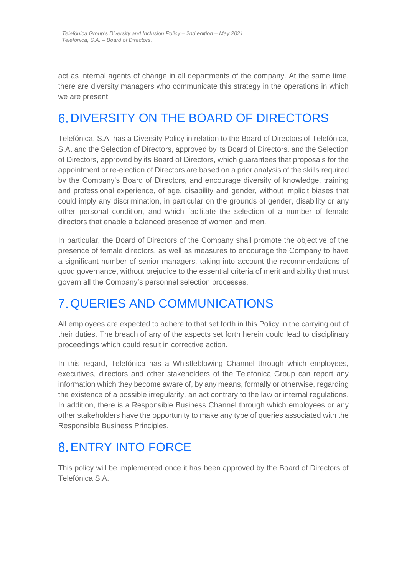act as internal agents of change in all departments of the company. At the same time, there are diversity managers who communicate this strategy in the operations in which we are present.

## <span id="page-7-0"></span>6. DIVERSITY ON THE BOARD OF DIRECTORS

Telefónica, S.A. has a Diversity Policy in relation to the Board of Directors of Telefónica, S.A. and the Selection of Directors, approved by its Board of Directors. and the Selection of Directors, approved by its Board of Directors, which guarantees that proposals for the appointment or re-election of Directors are based on a prior analysis of the skills required by the Company's Board of Directors, and encourage diversity of knowledge, training and professional experience, of age, disability and gender, without implicit biases that could imply any discrimination, in particular on the grounds of gender, disability or any other personal condition, and which facilitate the selection of a number of female directors that enable a balanced presence of women and men.

In particular, the Board of Directors of the Company shall promote the objective of the presence of female directors, as well as measures to encourage the Company to have a significant number of senior managers, taking into account the recommendations of good governance, without prejudice to the essential criteria of merit and ability that must govern all the Company's personnel selection processes.

# <span id="page-7-1"></span>QUERIES AND COMMUNICATIONS

All employees are expected to adhere to that set forth in this Policy in the carrying out of their duties. The breach of any of the aspects set forth herein could lead to disciplinary proceedings which could result in corrective action.

In this regard, Telefónica has a Whistleblowing Channel through which employees, executives, directors and other stakeholders of the Telefónica Group can report any information which they become aware of, by any means, formally or otherwise, regarding the existence of a possible irregularity, an act contrary to the law or internal regulations. In addition, there is a Responsible Business Channel through which employees or any other stakeholders have the opportunity to make any type of queries associated with the Responsible Business Principles.

### <span id="page-7-2"></span>**8 ENTRY INTO FORCE**

This policy will be implemented once it has been approved by the Board of Directors of Telefónica S.A.